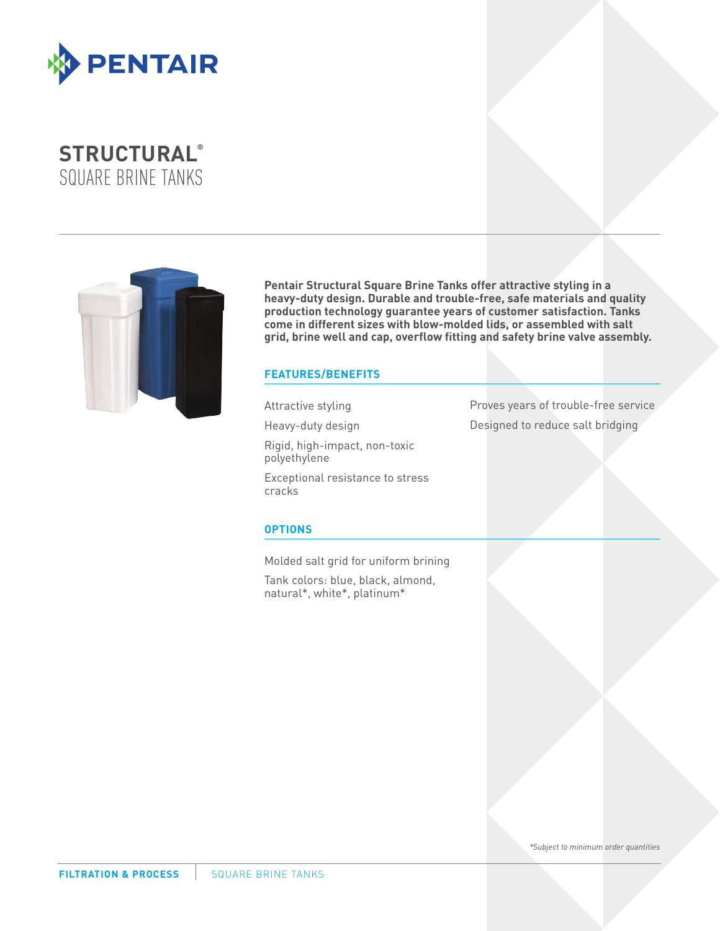

# **STRUCTURAL®**  SQUARE BRINE TANKS



**Pentair Structural Square Brine Tanks offer attractive styling in a heavy-duty design. Durable and trouble-free, safe materials and quality production technology guarantee years of customer satisfaction. Tanks come in different sizes with blow-molded lids, or assembled with salt grid, brine well and cap, overflow fitting and safety brine valve assembly.**

### **FEATURES/BENEFITS**

Attractive styling

Heavy-duty design

Rigid, high-impact, non-toxic polyethylene

Exceptional resistance to stress cracks

### **OPTIONS**

Molded salt grid for uniform brining

Tank colors: blue, black, almond, natural\*, white\*, platinum\*

Proves years of trouble-free service Designed to reduce salt bridging